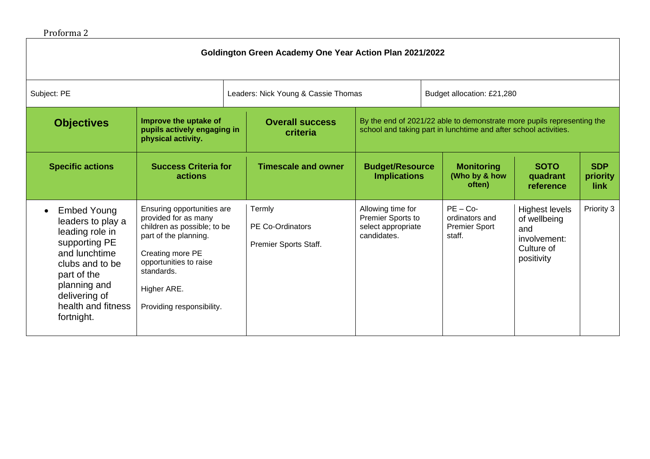## Proforma 2

| Goldington Green Academy One Year Action Plan 2021/2022                                                                                                                                             |                                                                                                                                                                                                                    |                                     |                                                            |                                                                             |                                                                                                                                            |                                                                                          |                                |  |
|-----------------------------------------------------------------------------------------------------------------------------------------------------------------------------------------------------|--------------------------------------------------------------------------------------------------------------------------------------------------------------------------------------------------------------------|-------------------------------------|------------------------------------------------------------|-----------------------------------------------------------------------------|--------------------------------------------------------------------------------------------------------------------------------------------|------------------------------------------------------------------------------------------|--------------------------------|--|
| Subject: PE                                                                                                                                                                                         |                                                                                                                                                                                                                    | Leaders: Nick Young & Cassie Thomas |                                                            | Budget allocation: £21,280                                                  |                                                                                                                                            |                                                                                          |                                |  |
| <b>Objectives</b>                                                                                                                                                                                   | Improve the uptake of<br>pupils actively engaging in<br>physical activity.                                                                                                                                         |                                     | <b>Overall success</b><br>criteria                         |                                                                             | By the end of 2021/22 able to demonstrate more pupils representing the<br>school and taking part in lunchtime and after school activities. |                                                                                          |                                |  |
| <b>Specific actions</b>                                                                                                                                                                             | <b>Success Criteria for</b><br>actions                                                                                                                                                                             |                                     | <b>Timescale and owner</b>                                 | <b>Budget/Resource</b><br><b>Implications</b>                               | <b>Monitoring</b><br>(Who by & how<br>often)                                                                                               | <b>SOTO</b><br>quadrant<br>reference                                                     | <b>SDP</b><br>priority<br>link |  |
| <b>Embed Young</b><br>leaders to play a<br>leading role in<br>supporting PE<br>and lunchtime<br>clubs and to be<br>part of the<br>planning and<br>delivering of<br>health and fitness<br>fortnight. | Ensuring opportunities are<br>provided for as many<br>children as possible; to be<br>part of the planning.<br>Creating more PE<br>opportunities to raise<br>standards.<br>Higher ARE.<br>Providing responsibility. |                                     | Termly<br><b>PE Co-Ordinators</b><br>Premier Sports Staff. | Allowing time for<br>Premier Sports to<br>select appropriate<br>candidates. | $PE - Co-$<br>ordinators and<br><b>Premier Sport</b><br>staff.                                                                             | <b>Highest levels</b><br>of wellbeing<br>and<br>involvement:<br>Culture of<br>positivity | Priority 3                     |  |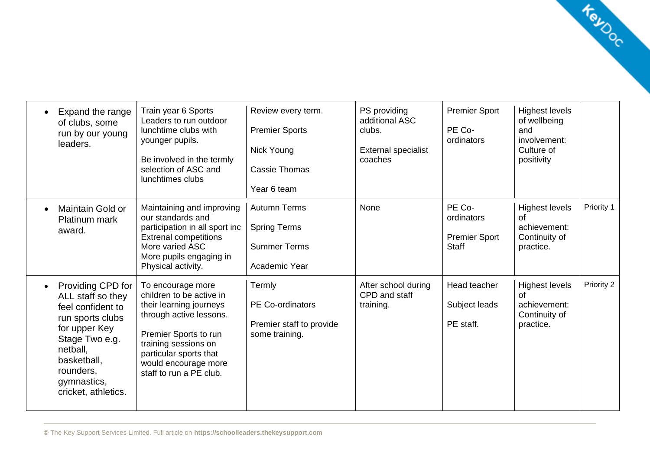| Expand the range<br>of clubs, some<br>run by our young<br>leaders.                                                                                                                               | Train year 6 Sports<br>Leaders to run outdoor<br>lunchtime clubs with<br>younger pupils.<br>Be involved in the termly<br>selection of ASC and<br>lunchtimes clubs                                                                 | Review every term.<br><b>Premier Sports</b><br>Nick Young<br><b>Cassie Thomas</b><br>Year 6 team | PS providing<br>additional ASC<br>clubs.<br><b>External specialist</b><br>coaches | <b>Premier Sport</b><br>PE Co-<br>ordinators                 | <b>Highest levels</b><br>of wellbeing<br>and<br>involvement:<br>Culture of<br>positivity |            |
|--------------------------------------------------------------------------------------------------------------------------------------------------------------------------------------------------|-----------------------------------------------------------------------------------------------------------------------------------------------------------------------------------------------------------------------------------|--------------------------------------------------------------------------------------------------|-----------------------------------------------------------------------------------|--------------------------------------------------------------|------------------------------------------------------------------------------------------|------------|
| Maintain Gold or<br><b>Platinum mark</b><br>award.                                                                                                                                               | Maintaining and improving<br>our standards and<br>participation in all sport inc<br><b>Extrenal competitions</b><br>More varied ASC<br>More pupils engaging in<br>Physical activity.                                              | <b>Autumn Terms</b><br><b>Spring Terms</b><br><b>Summer Terms</b><br>Academic Year               | None                                                                              | PE Co-<br>ordinators<br><b>Premier Sport</b><br><b>Staff</b> | <b>Highest levels</b><br>of<br>achievement:<br>Continuity of<br>practice.                | Priority 1 |
| Providing CPD for<br>ALL staff so they<br>feel confident to<br>run sports clubs<br>for upper Key<br>Stage Two e.g.<br>netball.<br>basketball,<br>rounders,<br>gymnastics,<br>cricket, athletics. | To encourage more<br>children to be active in<br>their learning journeys<br>through active lessons.<br>Premier Sports to run<br>training sessions on<br>particular sports that<br>would encourage more<br>staff to run a PE club. | Termly<br><b>PE Co-ordinators</b><br>Premier staff to provide<br>some training.                  | After school during<br>CPD and staff<br>training.                                 | Head teacher<br>Subject leads<br>PE staff.                   | <b>Highest levels</b><br>of<br>achievement:<br>Continuity of<br>practice.                | Priority 2 |

Kayoc

 $\overline{a}$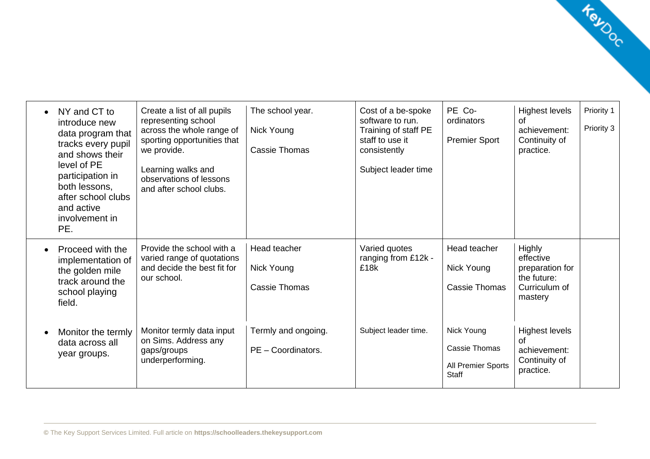| NY and CT to<br>introduce new<br>data program that<br>tracks every pupil<br>and shows their<br>level of PE<br>participation in<br>both lessons,<br>after school clubs<br>and active<br>involvement in<br>PE. | Create a list of all pupils<br>representing school<br>across the whole range of<br>sporting opportunities that<br>we provide.<br>Learning walks and<br>observations of lessons<br>and after school clubs. | The school year.<br><b>Nick Young</b><br><b>Cassie Thomas</b> | Cost of a be-spoke<br>software to run.<br>Training of staff PE<br>staff to use it<br>consistently<br>Subject leader time | PE Co-<br>ordinators<br><b>Premier Sport</b>               | <b>Highest levels</b><br>of<br>achievement:<br>Continuity of<br>practice.         | Priority 1<br>Priority 3 |
|--------------------------------------------------------------------------------------------------------------------------------------------------------------------------------------------------------------|-----------------------------------------------------------------------------------------------------------------------------------------------------------------------------------------------------------|---------------------------------------------------------------|--------------------------------------------------------------------------------------------------------------------------|------------------------------------------------------------|-----------------------------------------------------------------------------------|--------------------------|
| Proceed with the<br>implementation of<br>the golden mile<br>track around the<br>school playing<br>field.                                                                                                     | Provide the school with a<br>varied range of quotations<br>and decide the best fit for<br>our school.                                                                                                     | Head teacher<br>Nick Young<br>Cassie Thomas                   | Varied quotes<br>ranging from £12k -<br>£18k                                                                             | Head teacher<br>Nick Young<br><b>Cassie Thomas</b>         | Highly<br>effective<br>preparation for<br>the future:<br>Curriculum of<br>mastery |                          |
| Monitor the termly<br>data across all<br>year groups.                                                                                                                                                        | Monitor termly data input<br>on Sims. Address any<br>gaps/groups<br>underperforming.                                                                                                                      | Termly and ongoing.<br>PE - Coordinators.                     | Subject leader time.                                                                                                     | Nick Young<br>Cassie Thomas<br>All Premier Sports<br>Staff | <b>Highest levels</b><br>of<br>achievement:<br>Continuity of<br>practice.         |                          |

Kayoc